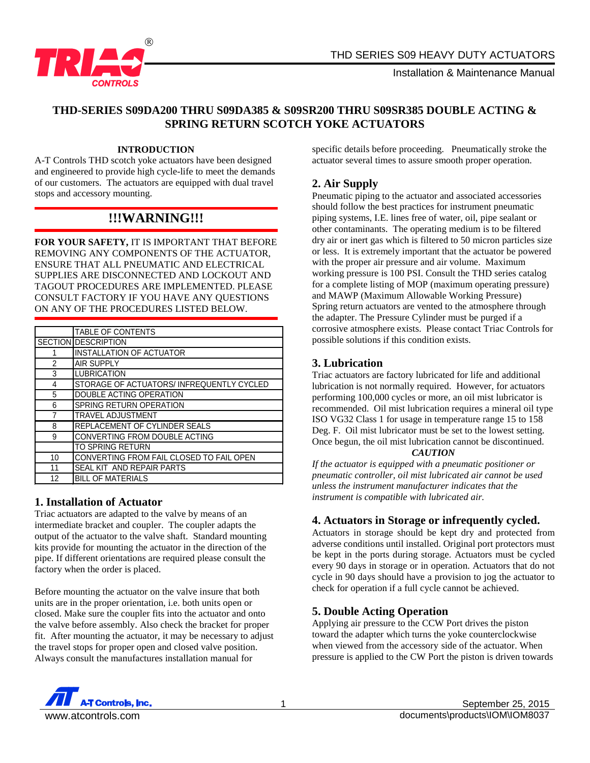

Installation & Maintenance Manual

# **THD-SERIES S09DA200 THRU S09DA385 & S09SR200 THRU S09SR385 DOUBLE ACTING & SPRING RETURN SCOTCH YOKE ACTUATORS**

#### **INTRODUCTION**

A-T Controls THD scotch yoke actuators have been designed and engineered to provide high cycle-life to meet the demands of our customers. The actuators are equipped with dual travel stops and accessory mounting.

# **!!!WARNING!!!**

**FOR YOUR SAFETY,** IT IS IMPORTANT THAT BEFORE REMOVING ANY COMPONENTS OF THE ACTUATOR, ENSURE THAT ALL PNEUMATIC AND ELECTRICAL SUPPLIES ARE DISCONNECTED AND LOCKOUT AND TAGOUT PROCEDURES ARE IMPLEMENTED. PLEASE CONSULT FACTORY IF YOU HAVE ANY QUESTIONS ON ANY OF THE PROCEDURES LISTED BELOW.

|                | TABLE OF CONTENTS                        |  |  |  |  |
|----------------|------------------------------------------|--|--|--|--|
|                | <b>SECTION DESCRIPTION</b>               |  |  |  |  |
|                | <b>INSTALLATION OF ACTUATOR</b>          |  |  |  |  |
| $\overline{2}$ | <b>AIR SUPPLY</b>                        |  |  |  |  |
| 3              | <b>LUBRICATION</b>                       |  |  |  |  |
| 4              | STORAGE OF ACTUATORS/INFREQUENTLY CYCLED |  |  |  |  |
| 5              | DOUBLE ACTING OPERATION                  |  |  |  |  |
| 6              | SPRING RETURN OPERATION                  |  |  |  |  |
| 7              | <b>TRAVEL ADJUSTMENT</b>                 |  |  |  |  |
| 8              | REPLACEMENT OF CYLINDER SEALS            |  |  |  |  |
| 9              | CONVERTING FROM DOUBLE ACTING            |  |  |  |  |
|                | <b>TO SPRING RETURN</b>                  |  |  |  |  |
| 10             | CONVERTING FROM FAIL CLOSED TO FAIL OPEN |  |  |  |  |
| 11             | SEAL KIT AND REPAIR PARTS                |  |  |  |  |
| 12             | <b>BILL OF MATERIALS</b>                 |  |  |  |  |

# **1. Installation of Actuator**

Triac actuators are adapted to the valve by means of an intermediate bracket and coupler. The coupler adapts the output of the actuator to the valve shaft. Standard mounting kits provide for mounting the actuator in the direction of the pipe. If different orientations are required please consult the factory when the order is placed.

Before mounting the actuator on the valve insure that both units are in the proper orientation, i.e. both units open or closed. Make sure the coupler fits into the actuator and onto the valve before assembly. Also check the bracket for proper fit. After mounting the actuator, it may be necessary to adjust the travel stops for proper open and closed valve position. Always consult the manufactures installation manual for

specific details before proceeding. Pneumatically stroke the actuator several times to assure smooth proper operation.

# **2. Air Supply**

Pneumatic piping to the actuator and associated accessories should follow the best practices for instrument pneumatic piping systems, I.E. lines free of water, oil, pipe sealant or other contaminants. The operating medium is to be filtered dry air or inert gas which is filtered to 50 micron particles size or less. It is extremely important that the actuator be powered with the proper air pressure and air volume. Maximum working pressure is 100 PSI. Consult the THD series catalog for a complete listing of MOP (maximum operating pressure) and MAWP (Maximum Allowable Working Pressure) Spring return actuators are vented to the atmosphere through the adapter. The Pressure Cylinder must be purged if a corrosive atmosphere exists. Please contact Triac Controls for possible solutions if this condition exists.

# **3. Lubrication**

Triac actuators are factory lubricated for life and additional lubrication is not normally required. However, for actuators performing 100,000 cycles or more, an oil mist lubricator is recommended. Oil mist lubrication requires a mineral oil type ISO VG32 Class 1 for usage in temperature range 15 to 158 Deg. F. Oil mist lubricator must be set to the lowest setting. Once begun, the oil mist lubrication cannot be discontinued. *CAUTION*

*If the actuator is equipped with a pneumatic positioner or pneumatic controller, oil mist lubricated air cannot be used unless the instrument manufacturer indicates that the instrument is compatible with lubricated air.*

# **4. Actuators in Storage or infrequently cycled.**

Actuators in storage should be kept dry and protected from adverse conditions until installed. Original port protectors must be kept in the ports during storage. Actuators must be cycled every 90 days in storage or in operation. Actuators that do not cycle in 90 days should have a provision to jog the actuator to check for operation if a full cycle cannot be achieved.

# **5. Double Acting Operation**

Applying air pressure to the CCW Port drives the piston toward the adapter which turns the yoke counterclockwise when viewed from the accessory side of the actuator. When pressure is applied to the CW Port the piston is driven towards

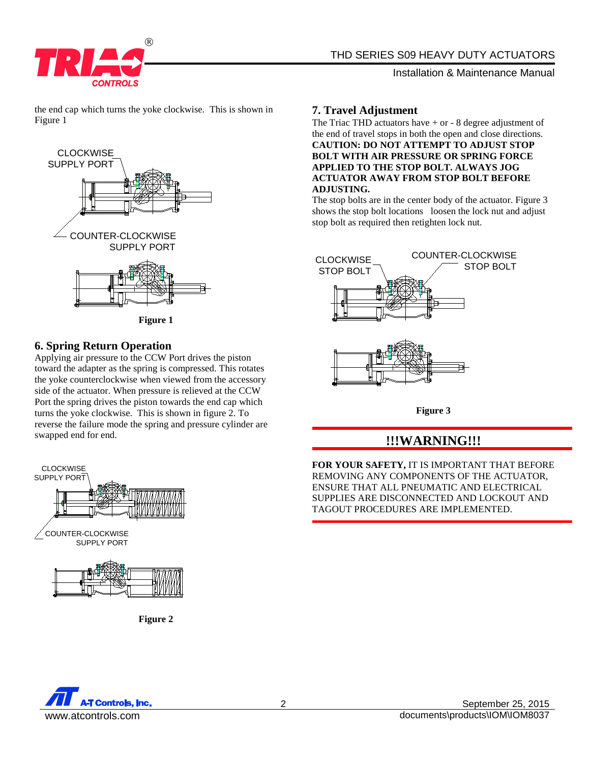

# THD SERIES S09 HEAVY DUTY ACTUATORS

#### Installation & Maintenance Manual

the end cap which turns the yoke clockwise. This is shown in Figure 1



**Figure 1**

#### **6. Spring Return Operation**

Applying air pressure to the CCW Port drives the piston toward the adapter as the spring is compressed. This rotates the yoke counterclockwise when viewed from the accessory side of the actuator. When pressure is relieved at the CCW Port the spring drives the piston towards the end cap which turns the yoke clockwise. This is shown in figure 2. To reverse the failure mode the spring and pressure cylinder are swapped end for end.





**Figure 2**

### **7. Travel Adjustment**

The Triac THD actuators have  $+$  or  $-$  8 degree adjustment of the end of travel stops in both the open and close directions. **CAUTION: DO NOT ATTEMPT TO ADJUST STOP BOLT WITH AIR PRESSURE OR SPRING FORCE APPLIED TO THE STOP BOLT. ALWAYS JOG ACTUATOR AWAY FROM STOP BOLT BEFORE ADJUSTING.**

The stop bolts are in the center body of the actuator. Figure 3 shows the stop bolt locations loosen the lock nut and adjust stop bolt as required then retighten lock nut.



**Figure 3**

# **!!!WARNING!!!**

**FOR YOUR SAFETY,** IT IS IMPORTANT THAT BEFORE REMOVING ANY COMPONENTS OF THE ACTUATOR, ENSURE THAT ALL PNEUMATIC AND ELECTRICAL SUPPLIES ARE DISCONNECTED AND LOCKOUT AND TAGOUT PROCEDURES ARE IMPLEMENTED.

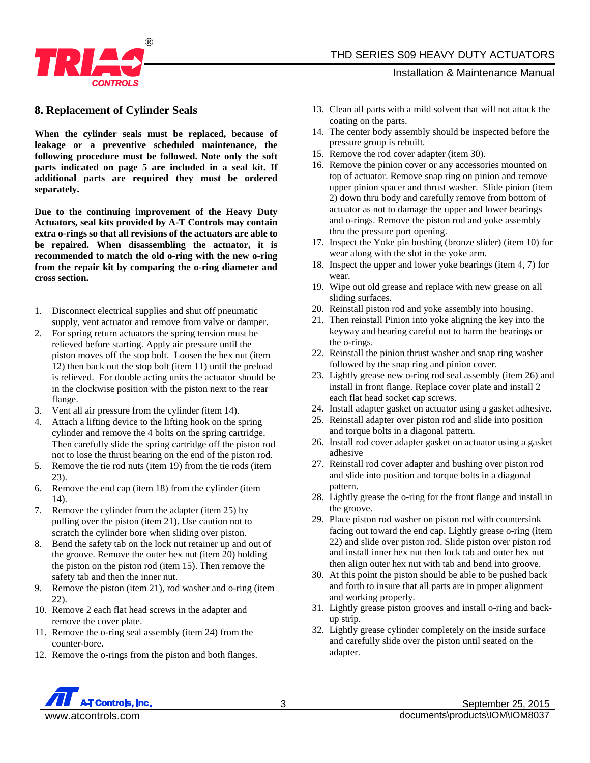



## **8. Replacement of Cylinder Seals**

**When the cylinder seals must be replaced, because of leakage or a preventive scheduled maintenance, the following procedure must be followed. Note only the soft parts indicated on page 5 are included in a seal kit. If additional parts are required they must be ordered separately.**

**Due to the continuing improvement of the Heavy Duty Actuators, seal kits provided by A-T Controls may contain extra o-rings so that all revisions of the actuators are able to be repaired. When disassembling the actuator, it is recommended to match the old o-ring with the new o-ring from the repair kit by comparing the o-ring diameter and cross section.**

- 1. Disconnect electrical supplies and shut off pneumatic supply, vent actuator and remove from valve or damper.
- 2. For spring return actuators the spring tension must be relieved before starting. Apply air pressure until the piston moves off the stop bolt. Loosen the hex nut (item 12) then back out the stop bolt (item 11) until the preload is relieved. For double acting units the actuator should be in the clockwise position with the piston next to the rear flange.
- 3. Vent all air pressure from the cylinder (item 14).
- 4. Attach a lifting device to the lifting hook on the spring cylinder and remove the 4 bolts on the spring cartridge. Then carefully slide the spring cartridge off the piston rod not to lose the thrust bearing on the end of the piston rod.
- 5. Remove the tie rod nuts (item 19) from the tie rods (item 23).
- 6. Remove the end cap (item 18) from the cylinder (item 14).
- 7. Remove the cylinder from the adapter (item 25) by pulling over the piston (item 21). Use caution not to scratch the cylinder bore when sliding over piston.
- 8. Bend the safety tab on the lock nut retainer up and out of the groove. Remove the outer hex nut (item 20) holding the piston on the piston rod (item 15). Then remove the safety tab and then the inner nut.
- 9. Remove the piston (item 21), rod washer and o-ring (item 22).
- 10. Remove 2 each flat head screws in the adapter and remove the cover plate.
- 11. Remove the o-ring seal assembly (item 24) from the counter-bore.
- 12. Remove the o-rings from the piston and both flanges.

#### Installation & Maintenance Manual

- 13. Clean all parts with a mild solvent that will not attack the coating on the parts.
- 14. The center body assembly should be inspected before the pressure group is rebuilt.
- 15. Remove the rod cover adapter (item 30).
- 16. Remove the pinion cover or any accessories mounted on top of actuator. Remove snap ring on pinion and remove upper pinion spacer and thrust washer. Slide pinion (item 2) down thru body and carefully remove from bottom of actuator as not to damage the upper and lower bearings and o-rings. Remove the piston rod and yoke assembly thru the pressure port opening.
- 17. Inspect the Yoke pin bushing (bronze slider) (item 10) for wear along with the slot in the yoke arm.
- 18. Inspect the upper and lower yoke bearings (item 4, 7) for wear.
- 19. Wipe out old grease and replace with new grease on all sliding surfaces.
- 20. Reinstall piston rod and yoke assembly into housing.
- 21. Then reinstall Pinion into yoke aligning the key into the keyway and bearing careful not to harm the bearings or the o-rings.
- 22. Reinstall the pinion thrust washer and snap ring washer followed by the snap ring and pinion cover.
- 23. Lightly grease new o-ring rod seal assembly (item 26) and install in front flange. Replace cover plate and install 2 each flat head socket cap screws.
- 24. Install adapter gasket on actuator using a gasket adhesive.
- 25. Reinstall adapter over piston rod and slide into position and torque bolts in a diagonal pattern.
- 26. Install rod cover adapter gasket on actuator using a gasket adhesive
- 27. Reinstall rod cover adapter and bushing over piston rod and slide into position and torque bolts in a diagonal pattern.
- 28. Lightly grease the o-ring for the front flange and install in the groove.
- 29. Place piston rod washer on piston rod with countersink facing out toward the end cap. Lightly grease o-ring (item 22) and slide over piston rod. Slide piston over piston rod and install inner hex nut then lock tab and outer hex nut then align outer hex nut with tab and bend into groove.
- 30. At this point the piston should be able to be pushed back and forth to insure that all parts are in proper alignment and working properly.
- 31. Lightly grease piston grooves and install o-ring and backup strip.
- 32. Lightly grease cylinder completely on the inside surface and carefully slide over the piston until seated on the adapter.

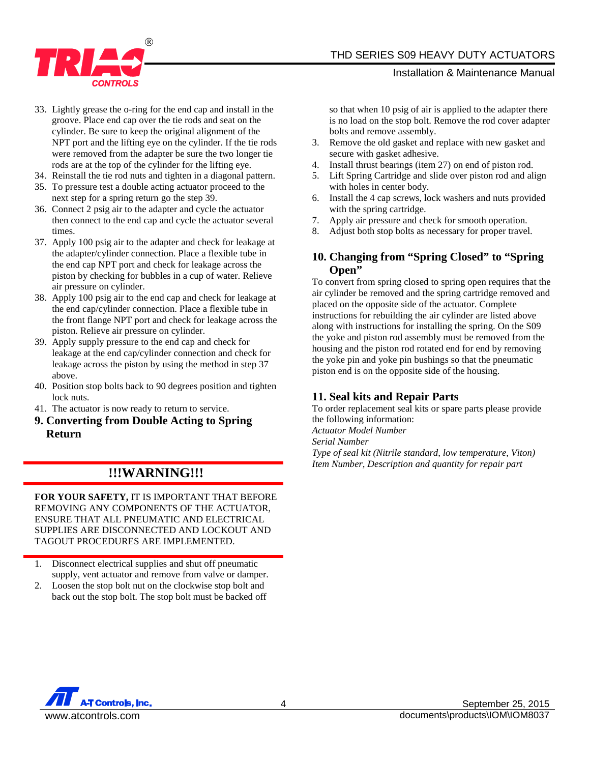

#### Installation & Maintenance Manual

- 33. Lightly grease the o-ring for the end cap and install in the groove. Place end cap over the tie rods and seat on the cylinder. Be sure to keep the original alignment of the NPT port and the lifting eye on the cylinder. If the tie rods were removed from the adapter be sure the two longer tie rods are at the top of the cylinder for the lifting eye.
- 34. Reinstall the tie rod nuts and tighten in a diagonal pattern.
- 35. To pressure test a double acting actuator proceed to the next step for a spring return go the step 39.
- 36. Connect 2 psig air to the adapter and cycle the actuator then connect to the end cap and cycle the actuator several times.
- 37. Apply 100 psig air to the adapter and check for leakage at the adapter/cylinder connection. Place a flexible tube in the end cap NPT port and check for leakage across the piston by checking for bubbles in a cup of water. Relieve air pressure on cylinder.
- 38. Apply 100 psig air to the end cap and check for leakage at the end cap/cylinder connection. Place a flexible tube in the front flange NPT port and check for leakage across the piston. Relieve air pressure on cylinder.
- 39. Apply supply pressure to the end cap and check for leakage at the end cap/cylinder connection and check for leakage across the piston by using the method in step 37 above.
- 40. Position stop bolts back to 90 degrees position and tighten lock nuts.
- 41. The actuator is now ready to return to service.
- **9. Converting from Double Acting to Spring Return**

# **!!!WARNING!!!**

**FOR YOUR SAFETY,** IT IS IMPORTANT THAT BEFORE REMOVING ANY COMPONENTS OF THE ACTUATOR, ENSURE THAT ALL PNEUMATIC AND ELECTRICAL SUPPLIES ARE DISCONNECTED AND LOCKOUT AND TAGOUT PROCEDURES ARE IMPLEMENTED.

- 1. Disconnect electrical supplies and shut off pneumatic supply, vent actuator and remove from valve or damper.
- 2. Loosen the stop bolt nut on the clockwise stop bolt and back out the stop bolt. The stop bolt must be backed off

so that when 10 psig of air is applied to the adapter there is no load on the stop bolt. Remove the rod cover adapter bolts and remove assembly.

- 3. Remove the old gasket and replace with new gasket and secure with gasket adhesive.
- 4. Install thrust bearings (item 27) on end of piston rod.
- 5. Lift Spring Cartridge and slide over piston rod and align with holes in center body.
- 6. Install the 4 cap screws, lock washers and nuts provided with the spring cartridge.
- 7. Apply air pressure and check for smooth operation.
- 8. Adjust both stop bolts as necessary for proper travel.

# **10. Changing from "Spring Closed" to "Spring Open"**

To convert from spring closed to spring open requires that the air cylinder be removed and the spring cartridge removed and placed on the opposite side of the actuator. Complete instructions for rebuilding the air cylinder are listed above along with instructions for installing the spring. On the S09 the yoke and piston rod assembly must be removed from the housing and the piston rod rotated end for end by removing the yoke pin and yoke pin bushings so that the pneumatic piston end is on the opposite side of the housing.

# **11. Seal kits and Repair Parts**

To order replacement seal kits or spare parts please provide the following information:

*Actuator Model Number*

*Serial Number*

*Type of seal kit (Nitrile standard, low temperature, Viton) Item Number, Description and quantity for repair part*

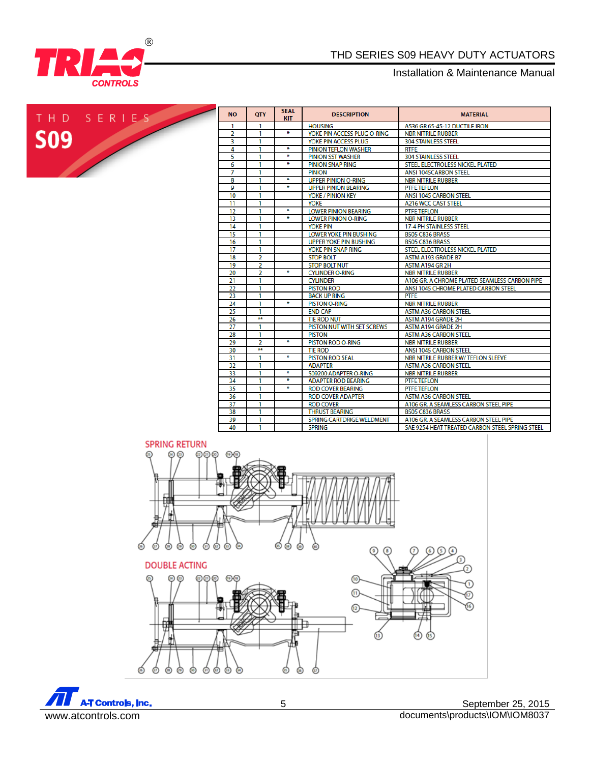

# THD SERIES S09 HEAVY DUTY ACTUATORS

## Installation & Maintenance Manual

| T H D      | SERIES |  |
|------------|--------|--|
| <b>S09</b> |        |  |
|            |        |  |

| <b>NO</b>      | <b>QTY</b>               | <b>SEAL</b><br><b>KIT</b> | <b>DESCRIPTION</b>               | <b>MATERIAL</b>                                 |
|----------------|--------------------------|---------------------------|----------------------------------|-------------------------------------------------|
| 1              | 1                        |                           | <b>HOUSING</b>                   | A536 GR 65-45-12 DUCTILE IRON                   |
| $\overline{2}$ | 1                        | ₩                         | YOKE PIN ACCESS PLUG O-RING      | <b>NBR NITRILE RUBBER</b>                       |
| 3              | 1                        |                           | YOKE PIN ACCESS PLUG             | <b>304 STAINLESS STEEL</b>                      |
| 4              | 1                        | ₩                         | <b>PINION TEFLON WASHER</b>      | <b>RTFE</b>                                     |
| 5              | 1                        | ¥                         | <b>PINION SST WASHER</b>         | <b>304 STAINLESS STEEL</b>                      |
| 6              | 1                        | $\ddot{\ast}$             | <b>PINION SNAP RING</b>          | STEEL ELECTROLESS NICKEL PLATED                 |
| 7              | 1                        |                           | <b>PINION</b>                    | <b>ANSI 1045CARBON STEEL</b>                    |
| 8              | 1                        | ÷                         | <b>UPPER PINION O-RING</b>       | <b>NBR NITRILE RUBBER</b>                       |
| 9              | 1                        | ¥                         | <b>UPPER PINION BEARING</b>      | <b>PTFE TEFLON</b>                              |
| 10             | 1                        |                           | YOKE / PINION KEY                | <b>ANSI 1045 CARBON STEEL</b>                   |
| 11             | 1                        |                           | <b>YOKE</b>                      | <b>A216 WCC CAST STEEL</b>                      |
| 12             | 1                        | ¥                         | <b>LOWER PINION BEARING</b>      | <b>PTFE TEFLON</b>                              |
| 13             | 1                        | ₩                         | <b>LOWER PINION O-RING</b>       | <b>NBR NITRILE RUBBER</b>                       |
| 14             | 1                        |                           | <b>YOKE PIN</b>                  | <b>17-4 PH STAINLESS STEEL</b>                  |
| 15             | 1                        |                           | <b>LOWER YOKE PIN BUSHING</b>    | <b>B505 C836 BRASS</b>                          |
| 16             | 1                        |                           | <b>UPPER YOKE PIN BUSHING</b>    | <b>B505 C836 BRASS</b>                          |
| 17             | 1                        |                           | YOKE PIN SNAP RING               | STEEL ELECTROLESS NICKEL PLATED                 |
| 18             | $\overline{2}$           |                           | <b>STOP BOLT</b>                 | <b>ASTM A193 GRADE B7</b>                       |
| 19             | 2                        |                           | <b>STOP BOLT NUT</b>             | ASTM A194 GR 2H                                 |
| 20             | $\overline{\phantom{a}}$ | ¥                         | <b>CYLINDER O-RING</b>           | <b>NBR NITRILE RUBBER</b>                       |
| 21             | 1                        |                           | <b>CYLINDER</b>                  | A106 GR. A CHROME PLATED SEAMLESS CARBON PIPE   |
| 22             | 1                        |                           | <b>PISTON ROD</b>                | ANSI 1045 CHROME PLATED CARBON STEEL            |
| 23             | 1                        |                           | <b>BACK UP RING</b>              | <b>PTFE</b>                                     |
| 24             | 1                        | ¥                         | <b>PISTON O-RING</b>             | <b>NBR NITRILE RUBBER</b>                       |
| 25             | 1                        |                           | <b>END CAP</b>                   | <b>ASTM A36 CARBON STEEL</b>                    |
| 26             | **                       |                           | <b>TIE ROD NUT</b>               | <b>ASTM A194 GRADE 2H</b>                       |
| 27             | 1                        |                           | PISTON NUT WITH SET SCREWS       | <b>ASTM A194 GRADE 2H</b>                       |
| 28             | 1                        |                           | <b>PISTON</b>                    | <b>ASTM A36 CARBON STEEL</b>                    |
| 29             | $\overline{2}$           | ₩                         | <b>PISTON ROD O-RING</b>         | <b>NBR NITRILE RUBBER</b>                       |
| 30             | **                       |                           | <b>TIE ROD</b>                   | <b>ANSI 1045 CARBON STEEL</b>                   |
| 31             | 1                        | ÷                         | <b>PISTON ROD SEAL</b>           | NBR NITRILE RUBBER W/TEFLON SLEEVE              |
| 32             | 1                        |                           | <b>ADAPTER</b>                   | <b>ASTM A36 CARBON STEEL</b>                    |
| 33             | 1                        | ¥                         | S09200 ADAPTER O-RING            | <b>NBR NITRILE RUBBER</b>                       |
| 34             | 1                        | ÷                         | <b>ADAPTER ROD BEARING</b>       | <b>PTFE TEFLON</b>                              |
| 35             | 1                        | ¥                         | <b>ROD COVER BEARING</b>         | <b>PTFE TEFLON</b>                              |
| 36             | 1                        |                           | <b>ROD COVER ADAPTER</b>         | <b>ASTM A36 CARBON STEEL</b>                    |
| 37             | 1                        |                           | <b>ROD COVER</b>                 | A106 GR. A SEAMLESS CARBON STEEL PIPE           |
| 38             | 1                        |                           | <b>THRUST BEARING</b>            | <b>B505 C836 BRASS</b>                          |
| 39             | 1                        |                           | <b>SPRING CARTDRIGE WELDMENT</b> | A106 GR. A SEAMLESS CARBON STEEL PIPE           |
| ı<br>40        | 1                        |                           | <b>SPRING</b>                    | SAE 9254 HEAT TREATED CARBON STEEL SPRING STEEL |